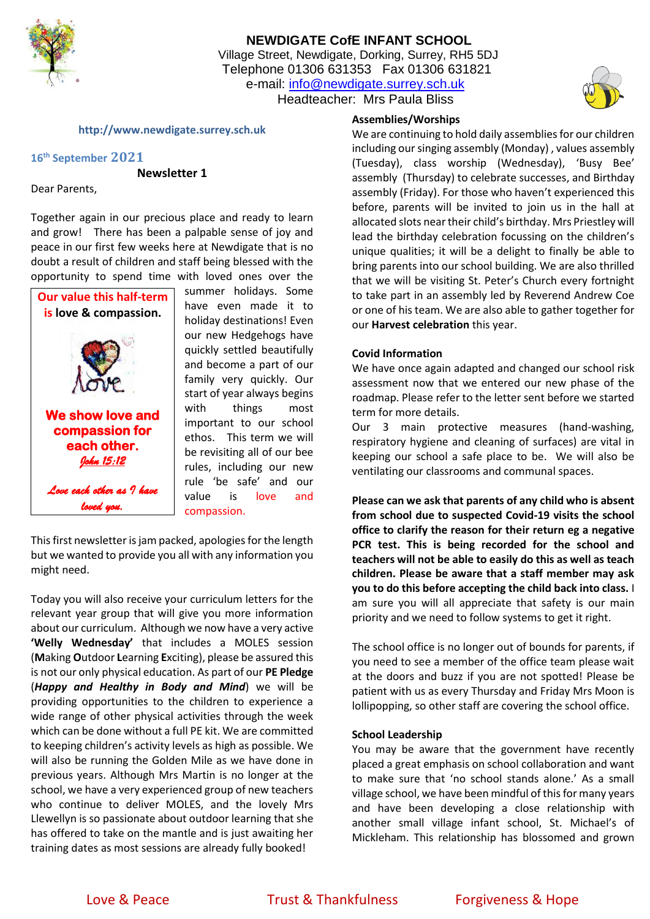

## **NEWDIGATE CofE INFANT SCHOOL** Village Street, Newdigate, Dorking, Surrey, RH5 5DJ Telephone 01306 631353 Fax 01306 631821 e-mail: [info@newdigate.surrey.sch.uk](mailto:info@newdigate.surrey.sch.uk) Headteacher: Mrs Paula Bliss



**http://www.newdigate.surrey.sch.uk**

### **16th September 2021**

**Newsletter 1**

Dear Parents,

Together again in our precious place and ready to learn and grow! There has been a palpable sense of joy and peace in our first few weeks here at Newdigate that is no doubt a result of children and staff being blessed with the opportunity to spend time with loved ones over the



summer holidays. Some have even made it to holiday destinations! Even our new Hedgehogs have quickly settled beautifully and become a part of our family very quickly. Our start of year always begins with things most important to our school ethos. This term we will be revisiting all of our bee rules, including our new rule 'be safe' and our value is love and compassion.

This first newsletter is jam packed, apologies for the length but we wanted to provide you all with any information you might need.

Today you will also receive your curriculum letters for the relevant year group that will give you more information about our curriculum. Although we now have a very active **'Welly Wednesday'** that includes a MOLES session (**M**aking **O**utdoor **L**earning **E**xciting), please be assured this is not our only physical education. As part of our **PE Pledge** (*Happy and Healthy in Body and Mind*) we will be providing opportunities to the children to experience a wide range of other physical activities through the week which can be done without a full PE kit. We are committed to keeping children's activity levels as high as possible. We will also be running the Golden Mile as we have done in previous years. Although Mrs Martin is no longer at the school, we have a very experienced group of new teachers who continue to deliver MOLES, and the lovely Mrs Llewellyn is so passionate about outdoor learning that she has offered to take on the mantle and is just awaiting her training dates as most sessions are already fully booked!

### **Assemblies/Worships**

We are continuing to hold daily assemblies for our children including our singing assembly (Monday) , values assembly (Tuesday), class worship (Wednesday), 'Busy Bee' assembly (Thursday) to celebrate successes, and Birthday assembly (Friday). For those who haven't experienced this before, parents will be invited to join us in the hall at allocated slots near their child's birthday. Mrs Priestley will lead the birthday celebration focussing on the children's unique qualities; it will be a delight to finally be able to bring parents into our school building. We are also thrilled that we will be visiting St. Peter's Church every fortnight to take part in an assembly led by Reverend Andrew Coe or one of his team. We are also able to gather together for our **Harvest celebration** this year.

### **Covid Information**

We have once again adapted and changed our school risk assessment now that we entered our new phase of the roadmap. Please refer to the letter sent before we started term for more details.

Our 3 main protective measures (hand-washing, respiratory hygiene and cleaning of surfaces) are vital in keeping our school a safe place to be. We will also be ventilating our classrooms and communal spaces.

**Please can we ask that parents of any child who is absent from school due to suspected Covid-19 visits the school office to clarify the reason for their return eg a negative PCR test. This is being recorded for the school and teachers will not be able to easily do this as well as teach children. Please be aware that a staff member may ask you to do this before accepting the child back into class.** I am sure you will all appreciate that safety is our main priority and we need to follow systems to get it right.

The school office is no longer out of bounds for parents, if you need to see a member of the office team please wait at the doors and buzz if you are not spotted! Please be patient with us as every Thursday and Friday Mrs Moon is lollipopping, so other staff are covering the school office.

#### **School Leadership**

You may be aware that the government have recently placed a great emphasis on school collaboration and want to make sure that 'no school stands alone.' As a small village school, we have been mindful of this for many years and have been developing a close relationship with another small village infant school, St. Michael's of Mickleham. This relationship has blossomed and grown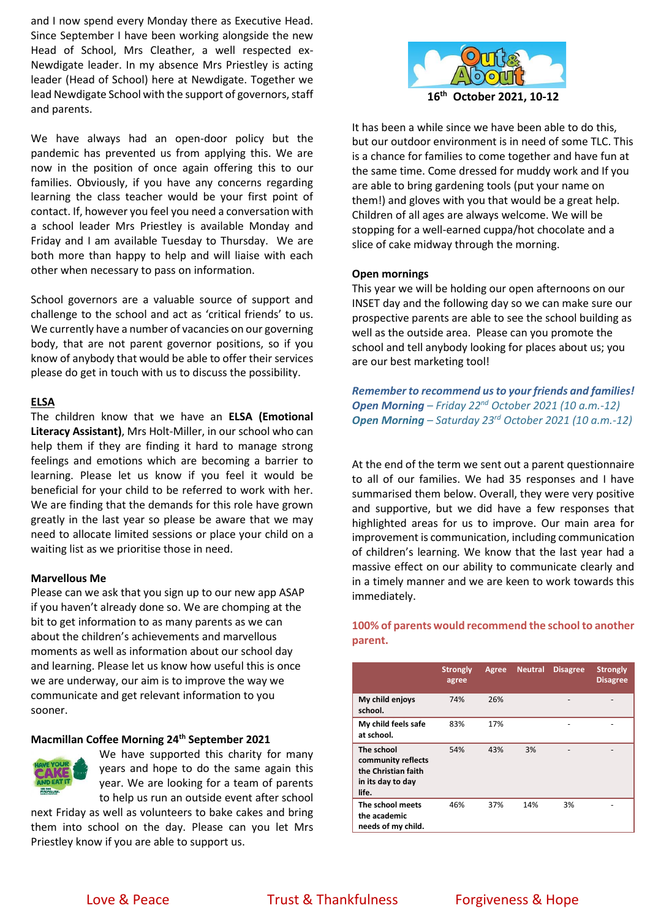and I now spend every Monday there as Executive Head. Since September I have been working alongside the new Head of School, Mrs Cleather, a well respected ex-Newdigate leader. In my absence Mrs Priestley is acting leader (Head of School) here at Newdigate. Together we lead Newdigate School with the support of governors, staff and parents.

We have always had an open-door policy but the pandemic has prevented us from applying this. We are now in the position of once again offering this to our families. Obviously, if you have any concerns regarding learning the class teacher would be your first point of contact. If, however you feel you need a conversation with a school leader Mrs Priestley is available Monday and Friday and I am available Tuesday to Thursday. We are both more than happy to help and will liaise with each other when necessary to pass on information.

School governors are a valuable source of support and challenge to the school and act as 'critical friends' to us. We currently have a number of vacancies on our governing body, that are not parent governor positions, so if you know of anybody that would be able to offer their services please do get in touch with us to discuss the possibility.

#### **ELSA**

The children know that we have an **ELSA (Emotional Literacy Assistant)**, Mrs Holt-Miller, in our school who can help them if they are finding it hard to manage strong feelings and emotions which are becoming a barrier to learning. Please let us know if you feel it would be beneficial for your child to be referred to work with her. We are finding that the demands for this role have grown greatly in the last year so please be aware that we may need to allocate limited sessions or place your child on a waiting list as we prioritise those in need.

#### **Marvellous Me**

Please can we ask that you sign up to our new app ASAP if you haven't already done so. We are chomping at the bit to get information to as many parents as we can about the children's achievements and marvellous moments as well as information about our school day and learning. Please let us know how useful this is once we are underway, our aim is to improve the way we communicate and get relevant information to you sooner.

#### **Macmillan Coffee Morning 24th September 2021**



We have supported this charity for many years and hope to do the same again this year. We are looking for a team of parents to help us run an outside event after school

next Friday as well as volunteers to bake cakes and bring them into school on the day. Please can you let Mrs Priestley know if you are able to support us.



It has been a while since we have been able to do this, but our outdoor environment is in need of some TLC. This is a chance for families to come together and have fun at the same time. Come dressed for muddy work and If you are able to bring gardening tools (put your name on them!) and gloves with you that would be a great help. Children of all ages are always welcome. We will be stopping for a well-earned cuppa/hot chocolate and a slice of cake midway through the morning.

#### **Open mornings**

This year we will be holding our open afternoons on our INSET day and the following day so we can make sure our prospective parents are able to see the school building as well as the outside area. Please can you promote the school and tell anybody looking for places about us; you are our best marketing tool!

*Remember to recommend us to your friends and families! Open Morning – Friday 22nd October 2021 (10 a.m.-12) Open Morning – Saturday 23rd October 2021 (10 a.m.-12)*

At the end of the term we sent out a parent questionnaire to all of our families. We had 35 responses and I have summarised them below. Overall, they were very positive and supportive, but we did have a few responses that highlighted areas for us to improve. Our main area for improvement is communication, including communication of children's learning. We know that the last year had a massive effect on our ability to communicate clearly and in a timely manner and we are keen to work towards this immediately.

**100% of parents would recommend the school to another parent.**

|                                                                                       | <b>Strongly</b><br>agree | Agree | <b>Neutral</b> | <b>Disagree</b> | <b>Strongly</b><br><b>Disagree</b> |
|---------------------------------------------------------------------------------------|--------------------------|-------|----------------|-----------------|------------------------------------|
| My child enjoys<br>school.                                                            | 74%                      | 26%   |                |                 |                                    |
| My child feels safe<br>at school.                                                     | 83%                      | 17%   |                |                 |                                    |
| The school<br>community reflects<br>the Christian faith<br>in its day to day<br>life. | 54%                      | 43%   | 3%             |                 |                                    |
| The school meets<br>the academic<br>needs of my child.                                | 46%                      | 37%   | 14%            | 3%              |                                    |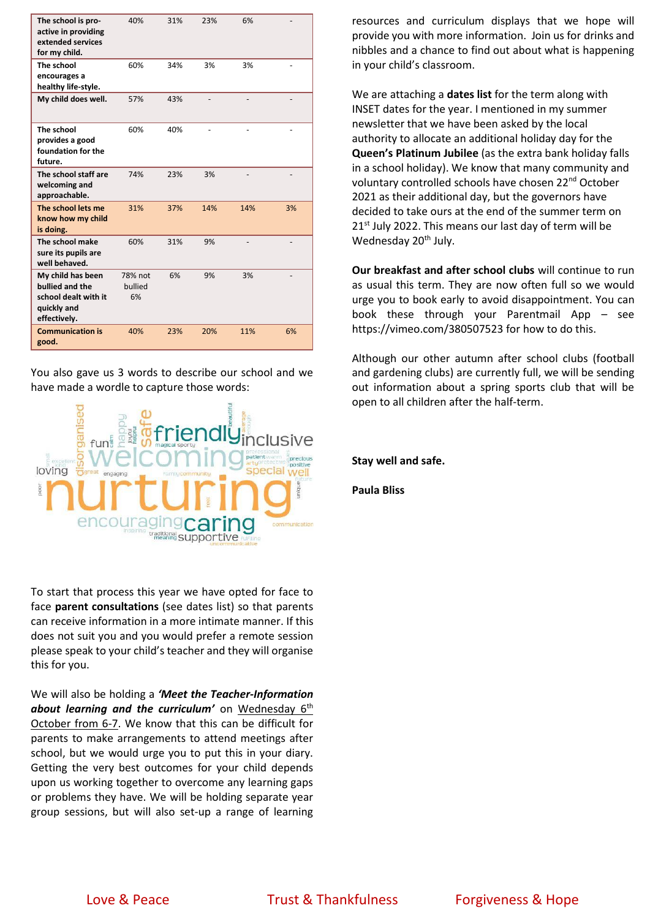| The school is pro-<br>active in providing<br>extended services<br>for my child.             | 40%                      | 31% | 23% | 6%  |    |
|---------------------------------------------------------------------------------------------|--------------------------|-----|-----|-----|----|
| The school<br>encourages a<br>healthy life-style.                                           | 60%                      | 34% | 3%  | 3%  |    |
| My child does well.                                                                         | 57%                      | 43% |     |     |    |
| The school<br>provides a good<br>foundation for the<br>future.                              | 60%                      | 40% |     |     |    |
| The school staff are<br>welcoming and<br>approachable.                                      | 74%                      | 23% | 3%  |     |    |
| The school lets me<br>know how my child<br>is doing.                                        | 31%                      | 37% | 14% | 14% | 3% |
| The school make<br>sure its pupils are<br>well behaved.                                     | 60%                      | 31% | 9%  |     |    |
| My child has been<br>bullied and the<br>school dealt with it<br>quickly and<br>effectively. | 78% not<br>bullied<br>6% | 6%  | 9%  | 3%  |    |
| <b>Communication is</b><br>good.                                                            | 40%                      | 23% | 20% | 11% | 6% |

You also gave us 3 words to describe our school and we have made a wordle to capture those words:



To start that process this year we have opted for face to face **parent consultations** (see dates list) so that parents can receive information in a more intimate manner. If this does not suit you and you would prefer a remote session please speak to your child's teacher and they will organise this for you.

We will also be holding a *'Meet the Teacher-Information*  about learning and the curriculum' on Wednesday 6<sup>th</sup> October from 6-7. We know that this can be difficult for parents to make arrangements to attend meetings after school, but we would urge you to put this in your diary. Getting the very best outcomes for your child depends upon us working together to overcome any learning gaps or problems they have. We will be holding separate year group sessions, but will also set-up a range of learning

resources and curriculum displays that we hope will provide you with more information. Join us for drinks and nibbles and a chance to find out about what is happening in your child's classroom.

We are attaching a **dates list** for the term along with INSET dates for the year. I mentioned in my summer newsletter that we have been asked by the local authority to allocate an additional holiday day for the **Queen's Platinum Jubilee** (as the extra bank holiday falls in a school holiday). We know that many community and voluntary controlled schools have chosen 22nd October 2021 as their additional day, but the governors have decided to take ours at the end of the summer term on 21<sup>st</sup> July 2022. This means our last day of term will be Wednesday 20<sup>th</sup> July.

**Our breakfast and after school clubs** will continue to run as usual this term. They are now often full so we would urge you to book early to avoid disappointment. You can book these through your Parentmail App – see https://vimeo.com/380507523 for how to do this.

Although our other autumn after school clubs (football and gardening clubs) are currently full, we will be sending out information about a spring sports club that will be open to all children after the half-term.

**Stay well and safe.**

**Paula Bliss**

Love & Peace Trust & Thankfulness Forgiveness & Hope